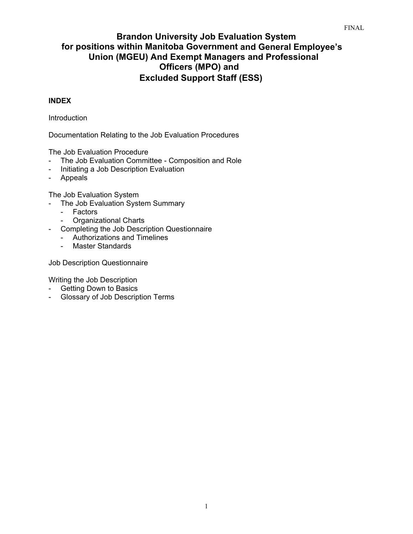# **Brandon University Job Evaluation System for positions within Manitoba Government and General Employee's Union (MGEU) And Exempt Managers and Professional Officers (MPO) and Excluded Support Staff (ESS)**

## **INDEX**

Introduction

Documentation Relating to the Job Evaluation Procedures

The Job Evaluation Procedure

- The Job Evaluation Committee Composition and Role
- Initiating a Job Description Evaluation
- Appeals

The Job Evaluation System

- The Job Evaluation System Summary
	- Factors
	- Organizational Charts
- Completing the Job Description Questionnaire
	- Authorizations and Timelines
	- Master Standards

Job Description Questionnaire

Writing the Job Description

- Getting Down to Basics
- Glossary of Job Description Terms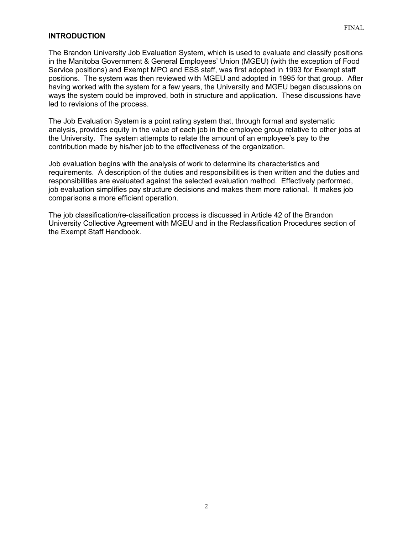#### **INTRODUCTION**

The Brandon University Job Evaluation System, which is used to evaluate and classify positions in the Manitoba Government & General Employees' Union (MGEU) (with the exception of Food Service positions) and Exempt MPO and ESS staff, was first adopted in 1993 for Exempt staff positions. The system was then reviewed with MGEU and adopted in 1995 for that group. After having worked with the system for a few years, the University and MGEU began discussions on ways the system could be improved, both in structure and application. These discussions have led to revisions of the process.

The Job Evaluation System is a point rating system that, through formal and systematic analysis, provides equity in the value of each job in the employee group relative to other jobs at the University. The system attempts to relate the amount of an employee's pay to the contribution made by his/her job to the effectiveness of the organization.

Job evaluation begins with the analysis of work to determine its characteristics and requirements. A description of the duties and responsibilities is then written and the duties and responsibilities are evaluated against the selected evaluation method. Effectively performed, job evaluation simplifies pay structure decisions and makes them more rational. It makes job comparisons a more efficient operation.

The job classification/re-classification process is discussed in Article 42 of the Brandon University Collective Agreement with MGEU and in the Reclassification Procedures section of the Exempt Staff Handbook.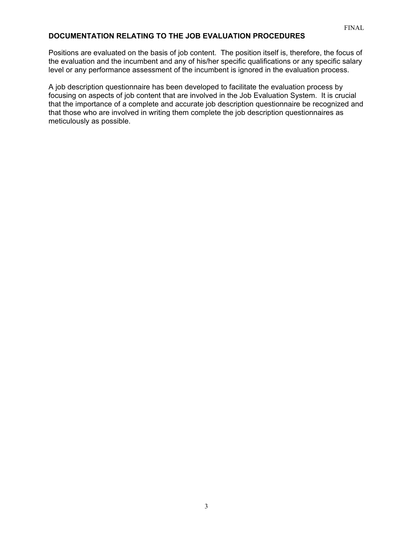## **DOCUMENTATION RELATING TO THE JOB EVALUATION PROCEDURES**

Positions are evaluated on the basis of job content. The position itself is, therefore, the focus of the evaluation and the incumbent and any of his/her specific qualifications or any specific salary level or any performance assessment of the incumbent is ignored in the evaluation process.

A job description questionnaire has been developed to facilitate the evaluation process by focusing on aspects of job content that are involved in the Job Evaluation System. It is crucial that the importance of a complete and accurate job description questionnaire be recognized and that those who are involved in writing them complete the job description questionnaires as meticulously as possible.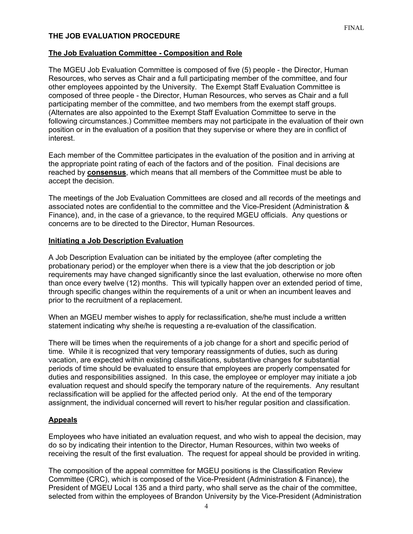### **THE JOB EVALUATION PROCEDURE**

## **The Job Evaluation Committee - Composition and Role**

The MGEU Job Evaluation Committee is composed of five (5) people - the Director, Human Resources, who serves as Chair and a full participating member of the committee, and four other employees appointed by the University. The Exempt Staff Evaluation Committee is composed of three people - the Director, Human Resources, who serves as Chair and a full participating member of the committee, and two members from the exempt staff groups. (Alternates are also appointed to the Exempt Staff Evaluation Committee to serve in the following circumstances.) Committee members may not participate in the evaluation of their own position or in the evaluation of a position that they supervise or where they are in conflict of interest.

Each member of the Committee participates in the evaluation of the position and in arriving at the appropriate point rating of each of the factors and of the position. Final decisions are reached by **consensus**, which means that all members of the Committee must be able to accept the decision.

The meetings of the Job Evaluation Committees are closed and all records of the meetings and associated notes are confidential to the committee and the Vice-President (Administration & Finance), and, in the case of a grievance, to the required MGEU officials. Any questions or concerns are to be directed to the Director, Human Resources.

## **Initiating a Job Description Evaluation**

A Job Description Evaluation can be initiated by the employee (after completing the probationary period) or the employer when there is a view that the job description or job requirements may have changed significantly since the last evaluation, otherwise no more often than once every twelve (12) months. This will typically happen over an extended period of time, through specific changes within the requirements of a unit or when an incumbent leaves and prior to the recruitment of a replacement.

When an MGEU member wishes to apply for reclassification, she/he must include a written statement indicating why she/he is requesting a re-evaluation of the classification.

There will be times when the requirements of a job change for a short and specific period of time. While it is recognized that very temporary reassignments of duties, such as during vacation, are expected within existing classifications, substantive changes for substantial periods of time should be evaluated to ensure that employees are properly compensated for duties and responsibilities assigned. In this case, the employee or employer may initiate a job evaluation request and should specify the temporary nature of the requirements. Any resultant reclassification will be applied for the affected period only. At the end of the temporary assignment, the individual concerned will revert to his/her regular position and classification.

## **Appeals**

Employees who have initiated an evaluation request, and who wish to appeal the decision, may do so by indicating their intention to the Director, Human Resources, within two weeks of receiving the result of the first evaluation. The request for appeal should be provided in writing.

The composition of the appeal committee for MGEU positions is the Classification Review Committee (CRC), which is composed of the Vice-President (Administration & Finance), the President of MGEU Local 135 and a third party, who shall serve as the chair of the committee, selected from within the employees of Brandon University by the Vice-President (Administration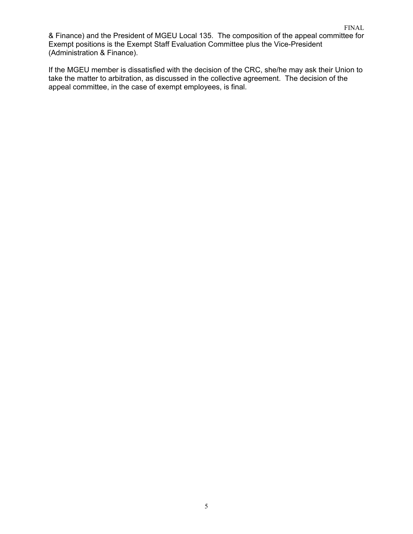& Finance) and the President of MGEU Local 135. The composition of the appeal committee for Exempt positions is the Exempt Staff Evaluation Committee plus the Vice-President (Administration & Finance).

If the MGEU member is dissatisfied with the decision of the CRC, she/he may ask their Union to take the matter to arbitration, as discussed in the collective agreement. The decision of the appeal committee, in the case of exempt employees, is final.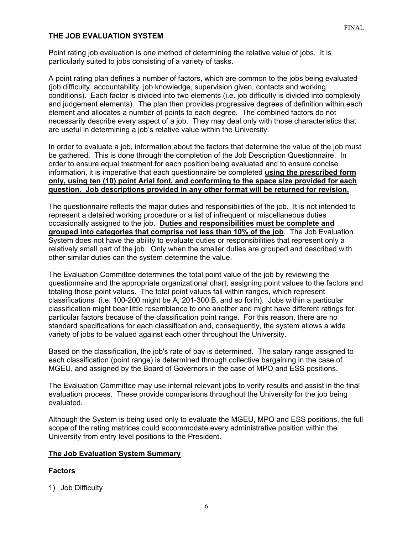### **THE JOB EVALUATION SYSTEM**

Point rating job evaluation is one method of determining the relative value of jobs. It is particularly suited to jobs consisting of a variety of tasks.

A point rating plan defines a number of factors, which are common to the jobs being evaluated (job difficulty, accountability, job knowledge, supervision given, contacts and working conditions). Each factor is divided into two elements (i.e. job difficulty is divided into complexity and judgement elements). The plan then provides progressive degrees of definition within each element and allocates a number of points to each degree. The combined factors do not necessarily describe every aspect of a job. They may deal only with those characteristics that are useful in determining a job's relative value within the University.

In order to evaluate a job, information about the factors that determine the value of the job must be gathered. This is done through the completion of the Job Description Questionnaire. In order to ensure equal treatment for each position being evaluated and to ensure concise information, it is imperative that each questionnaire be completed **using the prescribed form only, using ten (10) point Arial font, and conforming to the space size provided for each question. Job descriptions provided in any other format will be returned for revision.** 

The questionnaire reflects the major duties and responsibilities of the job. It is not intended to represent a detailed working procedure or a list of infrequent or miscellaneous duties occasionally assigned to the job. **Duties and responsibilities must be complete and grouped into categories that comprise not less than 10% of the job**. The Job Evaluation System does not have the ability to evaluate duties or responsibilities that represent only a relatively small part of the job. Only when the smaller duties are grouped and described with other similar duties can the system determine the value.

The Evaluation Committee determines the total point value of the job by reviewing the questionnaire and the appropriate organizational chart, assigning point values to the factors and totaling those point values. The total point values fall within ranges, which represent classifications (i.e. 100-200 might be A, 201-300 B, and so forth). Jobs within a particular classification might bear little resemblance to one another and might have different ratings for particular factors because of the classification point range. For this reason, there are no standard specifications for each classification and, consequently, the system allows a wide variety of jobs to be valued against each other throughout the University.

Based on the classification, the job's rate of pay is determined. The salary range assigned to each classification (point range) is determined through collective bargaining in the case of MGEU, and assigned by the Board of Governors in the case of MPO and ESS positions.

The Evaluation Committee may use internal relevant jobs to verify results and assist in the final evaluation process. These provide comparisons throughout the University for the job being evaluated.

Although the System is being used only to evaluate the MGEU, MPO and ESS positions, the full scope of the rating matrices could accommodate every administrative position within the University from entry level positions to the President.

#### **The Job Evaluation System Summary**

#### **Factors**

1) Job Difficulty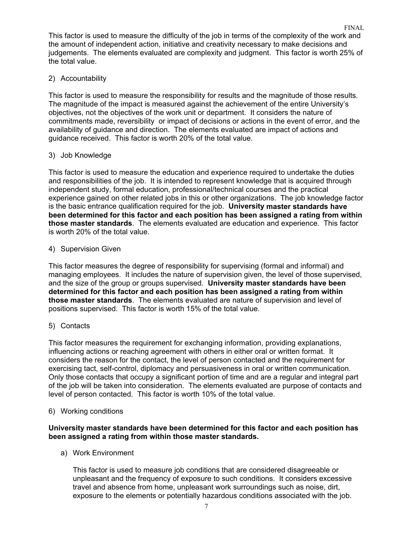This factor is used to measure the difficulty of the job in terms of the complexity of the work and the amount of independent action, initiative and creativity necessary to make decisions and judgements. The elements evaluated are complexity and judgment. This factor is worth 25% of the total value.

## 2) Accountability

This factor is used to measure the responsibility for results and the magnitude of those results. The magnitude of the impact is measured against the achievement of the entire University's objectives, not the objectives of the work unit or department. It considers the nature of commitments made, reversibility or impact of decisions or actions in the event of error, and the availability of guidance and direction. The elements evaluated are impact of actions and guidance received. This factor is worth 20% of the total value.

## 3) Job Knowledge

This factor is used to measure the education and experience required to undertake the duties and responsibilities of the job. It is intended to represent knowledge that is acquired through independent study, formal education, professional/technical courses and the practical experience gained on other related jobs in this or other organizations. The job knowledge factor is the basic entrance qualification required for the job. **University master standards have been determined for this factor and each position has been assigned a rating from within those master standards**. The elements evaluated are education and experience. This factor is worth 20% of the total value.

## 4) Supervision Given

This factor measures the degree of responsibility for supervising (formal and informal) and managing employees. It includes the nature of supervision given, the level of those supervised, and the size of the group or groups supervised. **University master standards have been determined for this factor and each position has been assigned a rating from within those master standards**. The elements evaluated are nature of supervision and level of positions supervised. This factor is worth 15% of the total value.

### 5) Contacts

This factor measures the requirement for exchanging information, providing explanations, influencing actions or reaching agreement with others in either oral or written format. It considers the reason for the contact, the level of person contacted and the requirement for exercising tact, self-control, diplomacy and persuasiveness in oral or written communication. Only those contacts that occupy a significant portion of time and are a regular and integral part of the job will be taken into consideration. The elements evaluated are purpose of contacts and level of person contacted. This factor is worth 10% of the total value.

### 6) Working conditions

### **University master standards have been determined for this factor and each position has been assigned a rating from within those master standards.**

a) Work Environment

This factor is used to measure job conditions that are considered disagreeable or unpleasant and the frequency of exposure to such conditions. It considers excessive travel and absence from home, unpleasant work surroundings such as noise, dirt, exposure to the elements or potentially hazardous conditions associated with the job.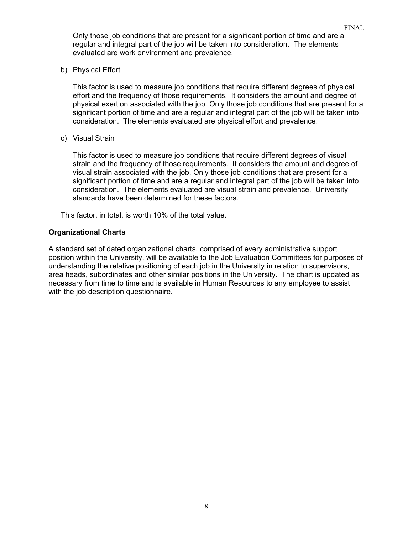Only those job conditions that are present for a significant portion of time and are a regular and integral part of the job will be taken into consideration. The elements evaluated are work environment and prevalence.

FINAL

b) Physical Effort

This factor is used to measure job conditions that require different degrees of physical effort and the frequency of those requirements. It considers the amount and degree of physical exertion associated with the job. Only those job conditions that are present for a significant portion of time and are a regular and integral part of the job will be taken into consideration. The elements evaluated are physical effort and prevalence.

c) Visual Strain

This factor is used to measure job conditions that require different degrees of visual strain and the frequency of those requirements. It considers the amount and degree of visual strain associated with the job. Only those job conditions that are present for a significant portion of time and are a regular and integral part of the job will be taken into consideration. The elements evaluated are visual strain and prevalence. University standards have been determined for these factors.

This factor, in total, is worth 10% of the total value.

#### **Organizational Charts**

A standard set of dated organizational charts, comprised of every administrative support position within the University, will be available to the Job Evaluation Committees for purposes of understanding the relative positioning of each job in the University in relation to supervisors, area heads, subordinates and other similar positions in the University. The chart is updated as necessary from time to time and is available in Human Resources to any employee to assist with the job description questionnaire.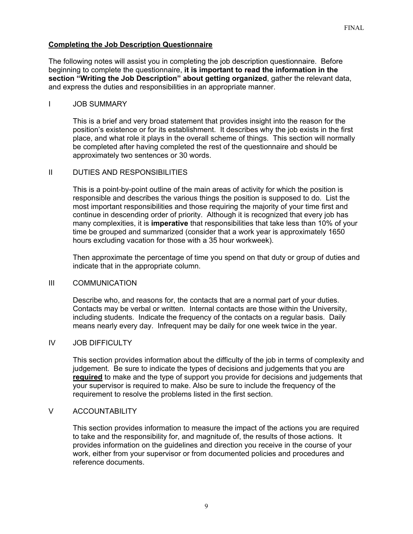### **Completing the Job Description Questionnaire**

The following notes will assist you in completing the job description questionnaire. Before beginning to complete the questionnaire, **it is important to read the information in the section "Writing the Job Description" about getting organized**, gather the relevant data, and express the duties and responsibilities in an appropriate manner.

#### I JOB SUMMARY

This is a brief and very broad statement that provides insight into the reason for the position's existence or for its establishment. It describes why the job exists in the first place, and what role it plays in the overall scheme of things. This section will normally be completed after having completed the rest of the questionnaire and should be approximately two sentences or 30 words.

### II DUTIES AND RESPONSIBILITIES

This is a point-by-point outline of the main areas of activity for which the position is responsible and describes the various things the position is supposed to do. List the most important responsibilities and those requiring the majority of your time first and continue in descending order of priority. Although it is recognized that every job has many complexities, it is **imperative** that responsibilities that take less than 10% of your time be grouped and summarized (consider that a work year is approximately 1650 hours excluding vacation for those with a 35 hour workweek).

Then approximate the percentage of time you spend on that duty or group of duties and indicate that in the appropriate column.

### III COMMUNICATION

Describe who, and reasons for, the contacts that are a normal part of your duties. Contacts may be verbal or written. Internal contacts are those within the University, including students. Indicate the frequency of the contacts on a regular basis. Daily means nearly every day. Infrequent may be daily for one week twice in the year.

### IV JOB DIFFICULTY

This section provides information about the difficulty of the job in terms of complexity and judgement. Be sure to indicate the types of decisions and judgements that you are **required** to make and the type of support you provide for decisions and judgements that your supervisor is required to make. Also be sure to include the frequency of the requirement to resolve the problems listed in the first section.

### V ACCOUNTABILITY

This section provides information to measure the impact of the actions you are required to take and the responsibility for, and magnitude of, the results of those actions. It provides information on the guidelines and direction you receive in the course of your work, either from your supervisor or from documented policies and procedures and reference documents.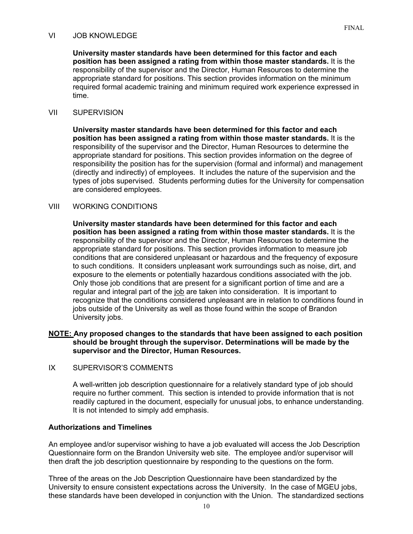### VI JOB KNOWLEDGE

**University master standards have been determined for this factor and each position has been assigned a rating from within those master standards.** It is the responsibility of the supervisor and the Director, Human Resources to determine the appropriate standard for positions. This section provides information on the minimum required formal academic training and minimum required work experience expressed in time.

### VII SUPERVISION

**University master standards have been determined for this factor and each position has been assigned a rating from within those master standards.** It is the responsibility of the supervisor and the Director, Human Resources to determine the appropriate standard for positions. This section provides information on the degree of responsibility the position has for the supervision (formal and informal) and management (directly and indirectly) of employees. It includes the nature of the supervision and the types of jobs supervised. Students performing duties for the University for compensation are considered employees.

## VIII WORKING CONDITIONS

**University master standards have been determined for this factor and each position has been assigned a rating from within those master standards.** It is the responsibility of the supervisor and the Director, Human Resources to determine the appropriate standard for positions. This section provides information to measure job conditions that are considered unpleasant or hazardous and the frequency of exposure to such conditions. It considers unpleasant work surroundings such as noise, dirt, and exposure to the elements or potentially hazardous conditions associated with the job. Only those job conditions that are present for a significant portion of time and are a regular and integral part of the job are taken into consideration. It is important to recognize that the conditions considered unpleasant are in relation to conditions found in jobs outside of the University as well as those found within the scope of Brandon University jobs.

### **NOTE: Any proposed changes to the standards that have been assigned to each position should be brought through the supervisor. Determinations will be made by the supervisor and the Director, Human Resources.**

IX SUPERVISOR'S COMMENTS

A well-written job description questionnaire for a relatively standard type of job should require no further comment. This section is intended to provide information that is not readily captured in the document, especially for unusual jobs, to enhance understanding. It is not intended to simply add emphasis.

### **Authorizations and Timelines**

An employee and/or supervisor wishing to have a job evaluated will access the Job Description Questionnaire form on the Brandon University web site. The employee and/or supervisor will then draft the job description questionnaire by responding to the questions on the form.

Three of the areas on the Job Description Questionnaire have been standardized by the University to ensure consistent expectations across the University. In the case of MGEU jobs, these standards have been developed in conjunction with the Union. The standardized sections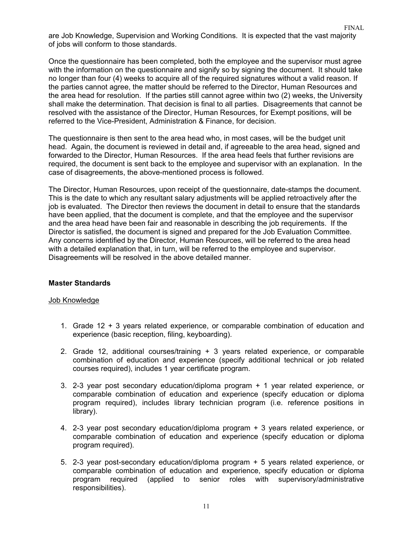are Job Knowledge, Supervision and Working Conditions. It is expected that the vast majority of jobs will conform to those standards.

FINAL

Once the questionnaire has been completed, both the employee and the supervisor must agree with the information on the questionnaire and signify so by signing the document. It should take no longer than four (4) weeks to acquire all of the required signatures without a valid reason. If the parties cannot agree, the matter should be referred to the Director, Human Resources and the area head for resolution. If the parties still cannot agree within two (2) weeks, the University shall make the determination. That decision is final to all parties. Disagreements that cannot be resolved with the assistance of the Director, Human Resources, for Exempt positions, will be referred to the Vice-President, Administration & Finance, for decision.

The questionnaire is then sent to the area head who, in most cases, will be the budget unit head. Again, the document is reviewed in detail and, if agreeable to the area head, signed and forwarded to the Director, Human Resources. If the area head feels that further revisions are required, the document is sent back to the employee and supervisor with an explanation. In the case of disagreements, the above-mentioned process is followed.

The Director, Human Resources, upon receipt of the questionnaire, date-stamps the document. This is the date to which any resultant salary adjustments will be applied retroactively after the job is evaluated. The Director then reviews the document in detail to ensure that the standards have been applied, that the document is complete, and that the employee and the supervisor and the area head have been fair and reasonable in describing the job requirements. If the Director is satisfied, the document is signed and prepared for the Job Evaluation Committee. Any concerns identified by the Director, Human Resources, will be referred to the area head with a detailed explanation that, in turn, will be referred to the employee and supervisor. Disagreements will be resolved in the above detailed manner.

#### **Master Standards**

#### Job Knowledge

- 1. Grade 12 + 3 years related experience, or comparable combination of education and experience (basic reception, filing, keyboarding).
- 2. Grade 12, additional courses/training + 3 years related experience, or comparable combination of education and experience (specify additional technical or job related courses required), includes 1 year certificate program.
- 3. 2-3 year post secondary education/diploma program + 1 year related experience, or comparable combination of education and experience (specify education or diploma program required), includes library technician program (i.e. reference positions in library).
- 4. 2-3 year post secondary education/diploma program + 3 years related experience, or comparable combination of education and experience (specify education or diploma program required).
- 5. 2-3 year post-secondary education/diploma program + 5 years related experience, or comparable combination of education and experience, specify education or diploma program required (applied to senior roles with supervisory/administrative responsibilities).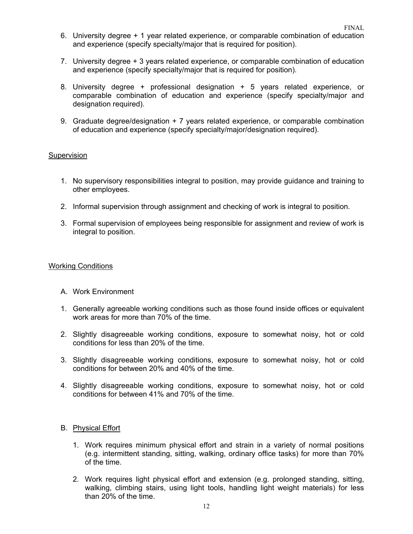- 6. University degree + 1 year related experience, or comparable combination of education and experience (specify specialty/major that is required for position).
- 7. University degree + 3 years related experience, or comparable combination of education and experience (specify specialty/major that is required for position).
- 8. University degree + professional designation + 5 years related experience, or comparable combination of education and experience (specify specialty/major and designation required).
- 9. Graduate degree/designation + 7 years related experience, or comparable combination of education and experience (specify specialty/major/designation required).

#### Supervision

- 1. No supervisory responsibilities integral to position, may provide guidance and training to other employees.
- 2. Informal supervision through assignment and checking of work is integral to position.
- 3. Formal supervision of employees being responsible for assignment and review of work is integral to position.

#### Working Conditions

- A. Work Environment
- 1. Generally agreeable working conditions such as those found inside offices or equivalent work areas for more than 70% of the time.
- 2. Slightly disagreeable working conditions, exposure to somewhat noisy, hot or cold conditions for less than 20% of the time.
- 3. Slightly disagreeable working conditions, exposure to somewhat noisy, hot or cold conditions for between 20% and 40% of the time.
- 4. Slightly disagreeable working conditions, exposure to somewhat noisy, hot or cold conditions for between 41% and 70% of the time.

### B. Physical Effort

- 1. Work requires minimum physical effort and strain in a variety of normal positions (e.g. intermittent standing, sitting, walking, ordinary office tasks) for more than 70% of the time.
- 2. Work requires light physical effort and extension (e.g. prolonged standing, sitting, walking, climbing stairs, using light tools, handling light weight materials) for less than 20% of the time.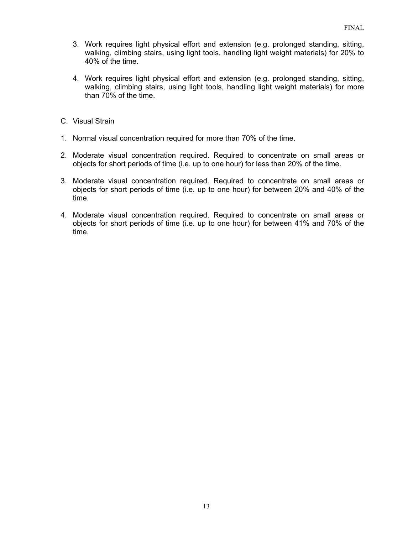- 3. Work requires light physical effort and extension (e.g. prolonged standing, sitting, walking, climbing stairs, using light tools, handling light weight materials) for 20% to 40% of the time.
- 4. Work requires light physical effort and extension (e.g. prolonged standing, sitting, walking, climbing stairs, using light tools, handling light weight materials) for more than 70% of the time.
- C. Visual Strain
- 1. Normal visual concentration required for more than 70% of the time.
- 2. Moderate visual concentration required. Required to concentrate on small areas or objects for short periods of time (i.e. up to one hour) for less than 20% of the time.
- 3. Moderate visual concentration required. Required to concentrate on small areas or objects for short periods of time (i.e. up to one hour) for between 20% and 40% of the time.
- 4. Moderate visual concentration required. Required to concentrate on small areas or objects for short periods of time (i.e. up to one hour) for between 41% and 70% of the time.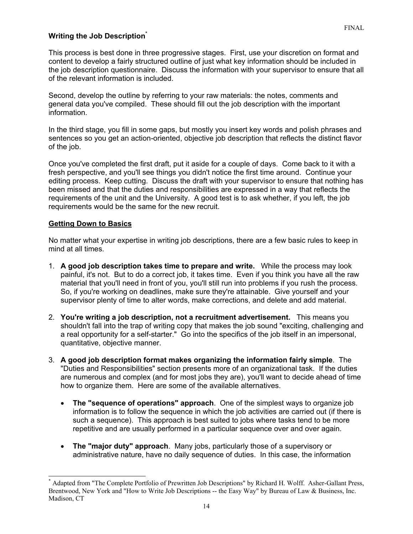### **Writing the Job Descriptio[n\\*](#page-13-0)**

This process is best done in three progressive stages. First, use your discretion on format and content to develop a fairly structured outline of just what key information should be included in the job description questionnaire. Discuss the information with your supervisor to ensure that all of the relevant information is included.

Second, develop the outline by referring to your raw materials: the notes, comments and general data you've compiled. These should fill out the job description with the important information.

In the third stage, you fill in some gaps, but mostly you insert key words and polish phrases and sentences so you get an action-oriented, objective job description that reflects the distinct flavor of the job.

Once you've completed the first draft, put it aside for a couple of days. Come back to it with a fresh perspective, and you'll see things you didn't notice the first time around. Continue your editing process. Keep cutting. Discuss the draft with your supervisor to ensure that nothing has been missed and that the duties and responsibilities are expressed in a way that reflects the requirements of the unit and the University. A good test is to ask whether, if you left, the job requirements would be the same for the new recruit.

#### **Getting Down to Basics**

 $\overline{a}$ 

No matter what your expertise in writing job descriptions, there are a few basic rules to keep in mind at all times.

- 1. **A good job description takes time to prepare and write.** While the process may look painful, it's not. But to do a correct job, it takes time. Even if you think you have all the raw material that you'll need in front of you, you'll still run into problems if you rush the process. So, if you're working on deadlines, make sure they're attainable. Give yourself and your supervisor plenty of time to alter words, make corrections, and delete and add material.
- 2. **You're writing a job description, not a recruitment advertisement.** This means you shouldn't fall into the trap of writing copy that makes the job sound "exciting, challenging and a real opportunity for a self-starter." Go into the specifics of the job itself in an impersonal, quantitative, objective manner.
- 3. **A good job description format makes organizing the information fairly simple**. The "Duties and Responsibilities" section presents more of an organizational task. If the duties are numerous and complex (and for most jobs they are), you'll want to decide ahead of time how to organize them. Here are some of the available alternatives.
	- **The "sequence of operations" approach**. One of the simplest ways to organize job information is to follow the sequence in which the job activities are carried out (if there is such a sequence). This approach is best suited to jobs where tasks tend to be more repetitive and are usually performed in a particular sequence over and over again.
	- **The "major duty" approach**. Many jobs, particularly those of a supervisory or administrative nature, have no daily sequence of duties. In this case, the information

<span id="page-13-0"></span><sup>\*</sup> Adapted from "The Complete Portfolio of Prewritten Job Descriptions" by Richard H. Wolff. Asher-Gallant Press, Brentwood, New York and "How to Write Job Descriptions -- the Easy Way" by Bureau of Law & Business, Inc. Madison, CT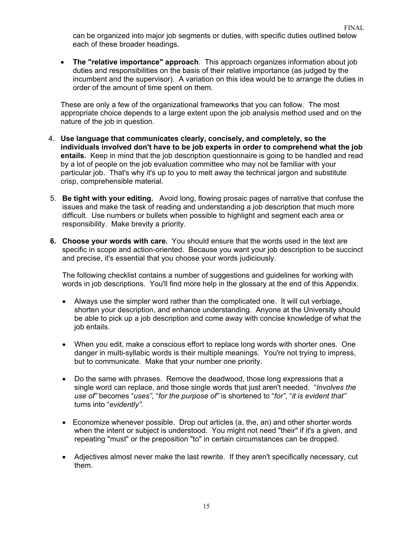can be organized into major job segments or duties, with specific duties outlined below each of these broader headings.

• **The "relative importance" approach**. This approach organizes information about job duties and responsibilities on the basis of their relative importance (as judged by the incumbent and the supervisor). A variation on this idea would be to arrange the duties in order of the amount of time spent on them.

These are only a few of the organizational frameworks that you can follow. The most appropriate choice depends to a large extent upon the job analysis method used and on the nature of the job in question.

- 4. **Use language that communicates clearly, concisely, and completely, so the individuals involved don't have to be job experts in order to comprehend what the job entails.** Keep in mind that the job description questionnaire is going to be handled and read by a lot of people on the job evaluation committee who may not be familiar with your particular job. That's why it's up to you to melt away the technical jargon and substitute crisp, comprehensible material.
- 5. **Be tight with your editing.** Avoid long, flowing prosaic pages of narrative that confuse the issues and make the task of reading and understanding a job description that much more difficult. Use numbers or bullets when possible to highlight and segment each area or responsibility. Make brevity a priority.
- **6. Choose your words with care.** You should ensure that the words used in the text are specific in scope and action-oriented. Because you want your job description to be succinct and precise, it's essential that you choose your words judiciously.

The following checklist contains a number of suggestions and guidelines for working with words in job descriptions. You'll find more help in the glossary at the end of this Appendix.

- Always use the simpler word rather than the complicated one. It will cut verbiage, shorten your description, and enhance understanding. Anyone at the University should be able to pick up a job description and come away with concise knowledge of what the job entails.
- When you edit, make a conscious effort to replace long words with shorter ones. One danger in multi-syllabic words is their multiple meanings. You're not trying to impress, but to communicate. Make that your number one priority.
- Do the same with phrases. Remove the deadwood, those long expressions that a single word can replace, and those single words that just aren't needed. "*Involves the use of"* becomes "*uses"*, "*for the purpose of"* is shortened to "*for"*, "*it is evident that"* turns into "*evidently"*.
- Economize whenever possible. Drop out articles (a, the, an) and other shorter words when the intent or subject is understood. You might not need "their" if it's a given, and repeating "must" or the preposition "to" in certain circumstances can be dropped.
- Adjectives almost never make the last rewrite. If they aren't specifically necessary, cut them.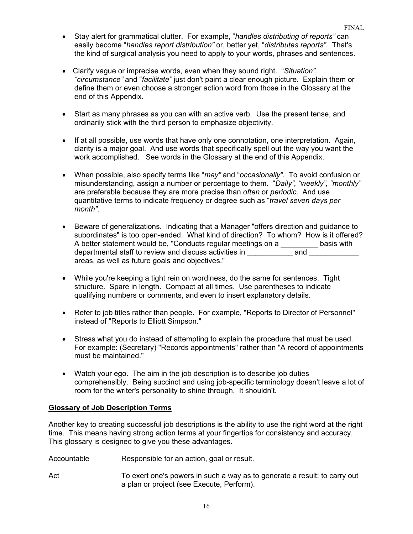- Stay alert for grammatical clutter. For example, "*handles distributing of reports"* can easily become "*handles report distribution"* or, better yet, "*distributes reports"*. That's the kind of surgical analysis you need to apply to your words, phrases and sentences.
- Clarify vague or imprecise words, even when they sound right. "*Situation", "circumstance"* and "*facilitate"* just don't paint a clear enough picture. Explain them or define them or even choose a stronger action word from those in the Glossary at the end of this Appendix.
- Start as many phrases as you can with an active verb. Use the present tense, and ordinarily stick with the third person to emphasize objectivity.
- If at all possible, use words that have only one connotation, one interpretation. Again, clarity is a major goal. And use words that specifically spell out the way you want the work accomplished. See words in the Glossary at the end of this Appendix.
- When possible, also specify terms like "*may"* and "*occasionally"*. To avoid confusion or misunderstanding, assign a number or percentage to them. "*Daily", "weekly", "monthly"* are preferable because they are more precise than *often* or *periodic*. And use quantitative terms to indicate frequency or degree such as "*travel seven days per month"*.
- Beware of generalizations. Indicating that a Manager "offers direction and guidance to subordinates" is too open-ended. What kind of direction? To whom? How is it offered? A better statement would be, "Conducts regular meetings on a \_\_\_\_\_\_\_\_\_\_ basis with departmental staff to review and discuss activities in departmental staff to review and discuss activities in departmental staff to review and discuss activities in areas, as well as future goals and objectives."
- While you're keeping a tight rein on wordiness, do the same for sentences. Tight structure. Spare in length. Compact at all times. Use parentheses to indicate qualifying numbers or comments, and even to insert explanatory details.
- Refer to job titles rather than people. For example, "Reports to Director of Personnel" instead of "Reports to Elliott Simpson."
- Stress what you do instead of attempting to explain the procedure that must be used. For example: (Secretary) "Records appointments" rather than "A record of appointments must be maintained."
- Watch your ego. The aim in the job description is to describe job duties comprehensibly. Being succinct and using job-specific terminology doesn't leave a lot of room for the writer's personality to shine through. It shouldn't.

### **Glossary of Job Description Terms**

Another key to creating successful job descriptions is the ability to use the right word at the right time. This means having strong action terms at your fingertips for consistency and accuracy. This glossary is designed to give you these advantages.

- Accountable Responsible for an action, goal or result.
- Act To exert one's powers in such a way as to generate a result; to carry out a plan or project (see Execute, Perform).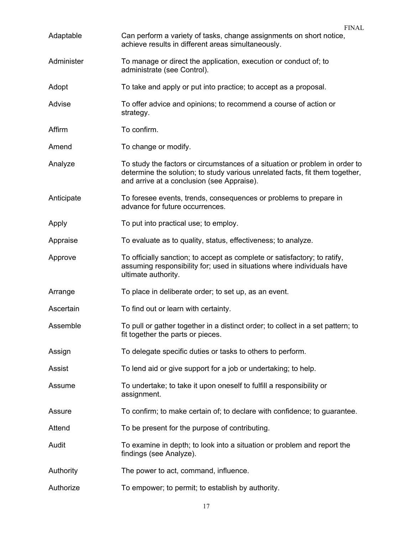| Adaptable  | <b>FINAL</b><br>Can perform a variety of tasks, change assignments on short notice,                                                                                                                       |
|------------|-----------------------------------------------------------------------------------------------------------------------------------------------------------------------------------------------------------|
|            | achieve results in different areas simultaneously.                                                                                                                                                        |
| Administer | To manage or direct the application, execution or conduct of; to<br>administrate (see Control).                                                                                                           |
| Adopt      | To take and apply or put into practice; to accept as a proposal.                                                                                                                                          |
| Advise     | To offer advice and opinions; to recommend a course of action or<br>strategy.                                                                                                                             |
| Affirm     | To confirm.                                                                                                                                                                                               |
| Amend      | To change or modify.                                                                                                                                                                                      |
| Analyze    | To study the factors or circumstances of a situation or problem in order to<br>determine the solution; to study various unrelated facts, fit them together,<br>and arrive at a conclusion (see Appraise). |
| Anticipate | To foresee events, trends, consequences or problems to prepare in<br>advance for future occurrences.                                                                                                      |
| Apply      | To put into practical use; to employ.                                                                                                                                                                     |
| Appraise   | To evaluate as to quality, status, effectiveness; to analyze.                                                                                                                                             |
| Approve    | To officially sanction; to accept as complete or satisfactory; to ratify,<br>assuming responsibility for; used in situations where individuals have<br>ultimate authority.                                |
| Arrange    | To place in deliberate order; to set up, as an event.                                                                                                                                                     |
| Ascertain  | To find out or learn with certainty.                                                                                                                                                                      |
| Assemble   | To pull or gather together in a distinct order; to collect in a set pattern; to<br>fit together the parts or pieces.                                                                                      |
| Assign     | To delegate specific duties or tasks to others to perform.                                                                                                                                                |
| Assist     | To lend aid or give support for a job or undertaking; to help.                                                                                                                                            |
| Assume     | To undertake; to take it upon oneself to fulfill a responsibility or<br>assignment.                                                                                                                       |
| Assure     | To confirm; to make certain of; to declare with confidence; to guarantee.                                                                                                                                 |
| Attend     | To be present for the purpose of contributing.                                                                                                                                                            |
| Audit      | To examine in depth; to look into a situation or problem and report the<br>findings (see Analyze).                                                                                                        |
| Authority  | The power to act, command, influence.                                                                                                                                                                     |
| Authorize  | To empower; to permit; to establish by authority.                                                                                                                                                         |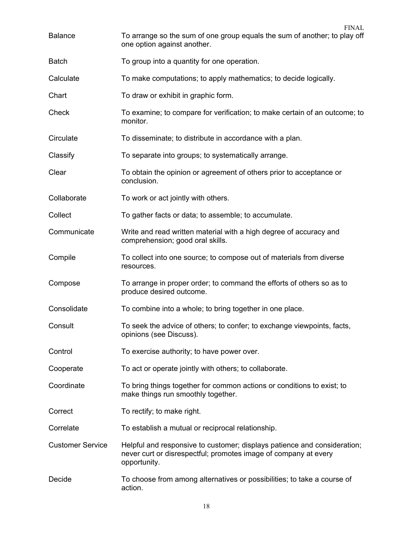| <b>Balance</b>          | <b>FINAL</b><br>To arrange so the sum of one group equals the sum of another; to play off<br>one option against another.                                    |
|-------------------------|-------------------------------------------------------------------------------------------------------------------------------------------------------------|
| <b>Batch</b>            | To group into a quantity for one operation.                                                                                                                 |
| Calculate               | To make computations; to apply mathematics; to decide logically.                                                                                            |
| Chart                   | To draw or exhibit in graphic form.                                                                                                                         |
| Check                   | To examine; to compare for verification; to make certain of an outcome; to<br>monitor.                                                                      |
| Circulate               | To disseminate; to distribute in accordance with a plan.                                                                                                    |
| Classify                | To separate into groups; to systematically arrange.                                                                                                         |
| Clear                   | To obtain the opinion or agreement of others prior to acceptance or<br>conclusion.                                                                          |
| Collaborate             | To work or act jointly with others.                                                                                                                         |
| Collect                 | To gather facts or data; to assemble; to accumulate.                                                                                                        |
| Communicate             | Write and read written material with a high degree of accuracy and<br>comprehension; good oral skills.                                                      |
| Compile                 | To collect into one source; to compose out of materials from diverse<br>resources.                                                                          |
| Compose                 | To arrange in proper order; to command the efforts of others so as to<br>produce desired outcome.                                                           |
| Consolidate             | To combine into a whole; to bring together in one place.                                                                                                    |
| Consult                 | To seek the advice of others; to confer; to exchange viewpoints, facts,<br>opinions (see Discuss).                                                          |
| Control                 | To exercise authority; to have power over.                                                                                                                  |
| Cooperate               | To act or operate jointly with others; to collaborate.                                                                                                      |
| Coordinate              | To bring things together for common actions or conditions to exist; to<br>make things run smoothly together.                                                |
| Correct                 | To rectify; to make right.                                                                                                                                  |
| Correlate               | To establish a mutual or reciprocal relationship.                                                                                                           |
| <b>Customer Service</b> | Helpful and responsive to customer; displays patience and consideration;<br>never curt or disrespectful; promotes image of company at every<br>opportunity. |
| Decide                  | To choose from among alternatives or possibilities; to take a course of<br>action.                                                                          |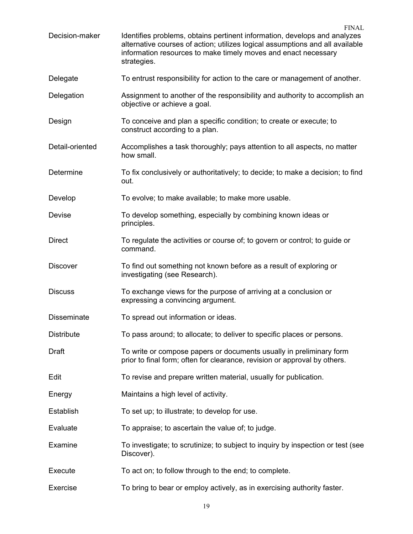FINAL Decision-maker Identifies problems, obtains pertinent information, develops and analyzes alternative courses of action; utilizes logical assumptions and all available information resources to make timely moves and enact necessary strategies. Delegate To entrust responsibility for action to the care or management of another. Delegation Assignment to another of the responsibility and authority to accomplish an objective or achieve a goal. Design To conceive and plan a specific condition; to create or execute; to construct according to a plan. Detail-oriented Accomplishes a task thoroughly; pays attention to all aspects, no matter how small. Determine To fix conclusively or authoritatively; to decide; to make a decision; to find out. Develop To evolve; to make available; to make more usable. Devise To develop something, especially by combining known ideas or principles. Direct To regulate the activities or course of; to govern or control; to guide or command. Discover To find out something not known before as a result of exploring or investigating (see Research). Discuss To exchange views for the purpose of arriving at a conclusion or expressing a convincing argument. Disseminate To spread out information or ideas. Distribute To pass around; to allocate; to deliver to specific places or persons. Draft To write or compose papers or documents usually in preliminary form prior to final form; often for clearance, revision or approval by others. Edit To revise and prepare written material, usually for publication. Energy Maintains a high level of activity. Establish To set up; to illustrate; to develop for use. Evaluate To appraise; to ascertain the value of; to judge. Examine To investigate; to scrutinize; to subject to inquiry by inspection or test (see Discover). Execute To act on; to follow through to the end; to complete. Exercise To bring to bear or employ actively, as in exercising authority faster.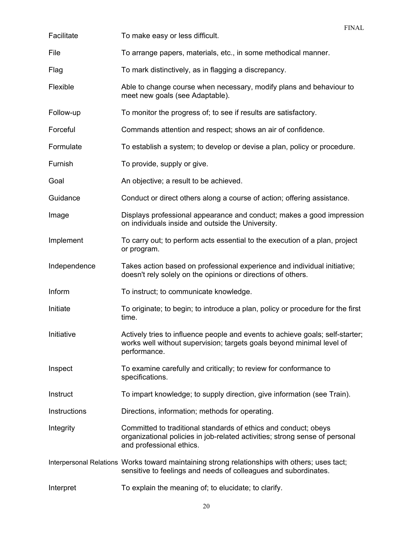| Facilitate   | <b>FINAL</b><br>To make easy or less difficult.                                                                                                                            |
|--------------|----------------------------------------------------------------------------------------------------------------------------------------------------------------------------|
| File         | To arrange papers, materials, etc., in some methodical manner.                                                                                                             |
| Flag         | To mark distinctively, as in flagging a discrepancy.                                                                                                                       |
| Flexible     | Able to change course when necessary, modify plans and behaviour to<br>meet new goals (see Adaptable).                                                                     |
| Follow-up    | To monitor the progress of; to see if results are satisfactory.                                                                                                            |
| Forceful     | Commands attention and respect; shows an air of confidence.                                                                                                                |
| Formulate    | To establish a system; to develop or devise a plan, policy or procedure.                                                                                                   |
| Furnish      | To provide, supply or give.                                                                                                                                                |
| Goal         | An objective; a result to be achieved.                                                                                                                                     |
| Guidance     | Conduct or direct others along a course of action; offering assistance.                                                                                                    |
| Image        | Displays professional appearance and conduct; makes a good impression<br>on individuals inside and outside the University.                                                 |
| Implement    | To carry out; to perform acts essential to the execution of a plan, project<br>or program.                                                                                 |
| Independence | Takes action based on professional experience and individual initiative;<br>doesn't rely solely on the opinions or directions of others.                                   |
| Inform       | To instruct; to communicate knowledge.                                                                                                                                     |
| Initiate     | To originate; to begin; to introduce a plan, policy or procedure for the first<br>time.                                                                                    |
| Initiative   | Actively tries to influence people and events to achieve goals; self-starter;<br>works well without supervision; targets goals beyond minimal level of<br>performance.     |
| Inspect      | To examine carefully and critically; to review for conformance to<br>specifications.                                                                                       |
| Instruct     | To impart knowledge; to supply direction, give information (see Train).                                                                                                    |
| Instructions | Directions, information; methods for operating.                                                                                                                            |
| Integrity    | Committed to traditional standards of ethics and conduct; obeys<br>organizational policies in job-related activities; strong sense of personal<br>and professional ethics. |
|              | Interpersonal Relations Works toward maintaining strong relationships with others; uses tact;<br>sensitive to feelings and needs of colleagues and subordinates.           |
| Interpret    | To explain the meaning of; to elucidate; to clarify.                                                                                                                       |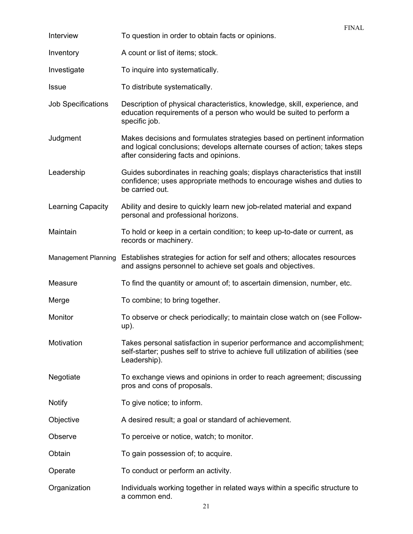|                            | <b>FINAL</b>                                                                                                                                                                                    |
|----------------------------|-------------------------------------------------------------------------------------------------------------------------------------------------------------------------------------------------|
| Interview                  | To question in order to obtain facts or opinions.                                                                                                                                               |
| Inventory                  | A count or list of items; stock.                                                                                                                                                                |
| Investigate                | To inquire into systematically.                                                                                                                                                                 |
| <b>Issue</b>               | To distribute systematically.                                                                                                                                                                   |
| <b>Job Specifications</b>  | Description of physical characteristics, knowledge, skill, experience, and<br>education requirements of a person who would be suited to perform a<br>specific job.                              |
| Judgment                   | Makes decisions and formulates strategies based on pertinent information<br>and logical conclusions; develops alternate courses of action; takes steps<br>after considering facts and opinions. |
| Leadership                 | Guides subordinates in reaching goals; displays characteristics that instill<br>confidence; uses appropriate methods to encourage wishes and duties to<br>be carried out.                       |
| <b>Learning Capacity</b>   | Ability and desire to quickly learn new job-related material and expand<br>personal and professional horizons.                                                                                  |
| Maintain                   | To hold or keep in a certain condition; to keep up-to-date or current, as<br>records or machinery.                                                                                              |
| <b>Management Planning</b> | Establishes strategies for action for self and others; allocates resources<br>and assigns personnel to achieve set goals and objectives.                                                        |
| Measure                    | To find the quantity or amount of; to ascertain dimension, number, etc.                                                                                                                         |
| Merge                      | To combine; to bring together.                                                                                                                                                                  |
| Monitor                    | To observe or check periodically; to maintain close watch on (see Follow-<br>up).                                                                                                               |
| Motivation                 | Takes personal satisfaction in superior performance and accomplishment;<br>self-starter; pushes self to strive to achieve full utilization of abilities (see<br>Leadership).                    |
| Negotiate                  | To exchange views and opinions in order to reach agreement; discussing<br>pros and cons of proposals.                                                                                           |
| <b>Notify</b>              | To give notice; to inform.                                                                                                                                                                      |
| Objective                  | A desired result; a goal or standard of achievement.                                                                                                                                            |
| Observe                    | To perceive or notice, watch; to monitor.                                                                                                                                                       |
| Obtain                     | To gain possession of; to acquire.                                                                                                                                                              |
| Operate                    | To conduct or perform an activity.                                                                                                                                                              |
| Organization               | Individuals working together in related ways within a specific structure to<br>a common end.                                                                                                    |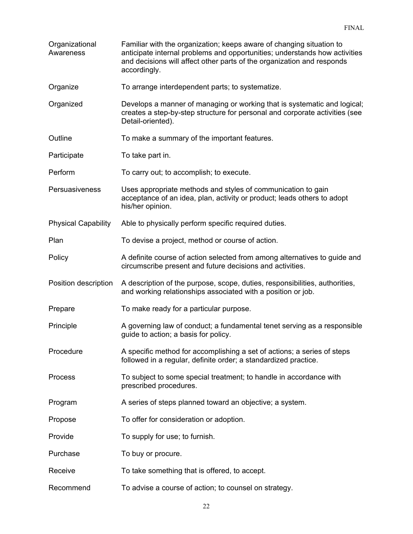| Organizational<br>Awareness | Familiar with the organization; keeps aware of changing situation to<br>anticipate internal problems and opportunities; understands how activities<br>and decisions will affect other parts of the organization and responds<br>accordingly. |
|-----------------------------|----------------------------------------------------------------------------------------------------------------------------------------------------------------------------------------------------------------------------------------------|
| Organize                    | To arrange interdependent parts; to systematize.                                                                                                                                                                                             |
| Organized                   | Develops a manner of managing or working that is systematic and logical;<br>creates a step-by-step structure for personal and corporate activities (see<br>Detail-oriented).                                                                 |
| Outline                     | To make a summary of the important features.                                                                                                                                                                                                 |
| Participate                 | To take part in.                                                                                                                                                                                                                             |
| Perform                     | To carry out; to accomplish; to execute.                                                                                                                                                                                                     |
| Persuasiveness              | Uses appropriate methods and styles of communication to gain<br>acceptance of an idea, plan, activity or product; leads others to adopt<br>his/her opinion.                                                                                  |
| <b>Physical Capability</b>  | Able to physically perform specific required duties.                                                                                                                                                                                         |
| Plan                        | To devise a project, method or course of action.                                                                                                                                                                                             |
| Policy                      | A definite course of action selected from among alternatives to guide and<br>circumscribe present and future decisions and activities.                                                                                                       |
| Position description        | A description of the purpose, scope, duties, responsibilities, authorities,<br>and working relationships associated with a position or job.                                                                                                  |
| Prepare                     | To make ready for a particular purpose.                                                                                                                                                                                                      |
| Principle                   | A governing law of conduct; a fundamental tenet serving as a responsible<br>guide to action; a basis for policy.                                                                                                                             |
| Procedure                   | A specific method for accomplishing a set of actions; a series of steps<br>followed in a regular, definite order; a standardized practice.                                                                                                   |
| <b>Process</b>              | To subject to some special treatment; to handle in accordance with<br>prescribed procedures.                                                                                                                                                 |
| Program                     | A series of steps planned toward an objective; a system.                                                                                                                                                                                     |
| Propose                     | To offer for consideration or adoption.                                                                                                                                                                                                      |
| Provide                     | To supply for use; to furnish.                                                                                                                                                                                                               |
| Purchase                    | To buy or procure.                                                                                                                                                                                                                           |
| Receive                     | To take something that is offered, to accept.                                                                                                                                                                                                |
| Recommend                   | To advise a course of action; to counsel on strategy.                                                                                                                                                                                        |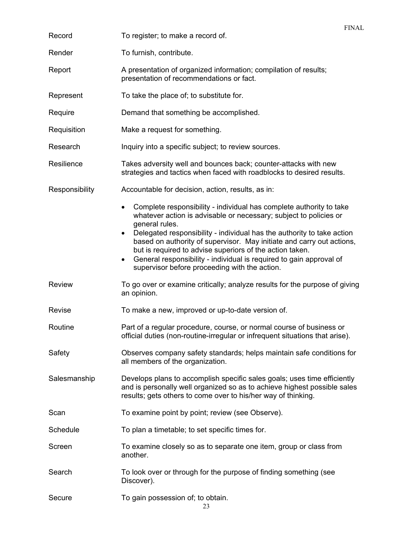|                | <b>FINAL</b>                                                                                                                                                                                                                                                                                                                                                                                                                                                                                                                             |
|----------------|------------------------------------------------------------------------------------------------------------------------------------------------------------------------------------------------------------------------------------------------------------------------------------------------------------------------------------------------------------------------------------------------------------------------------------------------------------------------------------------------------------------------------------------|
| Record         | To register; to make a record of.                                                                                                                                                                                                                                                                                                                                                                                                                                                                                                        |
| Render         | To furnish, contribute.                                                                                                                                                                                                                                                                                                                                                                                                                                                                                                                  |
| Report         | A presentation of organized information; compilation of results;<br>presentation of recommendations or fact.                                                                                                                                                                                                                                                                                                                                                                                                                             |
| Represent      | To take the place of; to substitute for.                                                                                                                                                                                                                                                                                                                                                                                                                                                                                                 |
| Require        | Demand that something be accomplished.                                                                                                                                                                                                                                                                                                                                                                                                                                                                                                   |
| Requisition    | Make a request for something.                                                                                                                                                                                                                                                                                                                                                                                                                                                                                                            |
| Research       | Inquiry into a specific subject; to review sources.                                                                                                                                                                                                                                                                                                                                                                                                                                                                                      |
| Resilience     | Takes adversity well and bounces back; counter-attacks with new<br>strategies and tactics when faced with roadblocks to desired results.                                                                                                                                                                                                                                                                                                                                                                                                 |
| Responsibility | Accountable for decision, action, results, as in:                                                                                                                                                                                                                                                                                                                                                                                                                                                                                        |
|                | Complete responsibility - individual has complete authority to take<br>$\bullet$<br>whatever action is advisable or necessary; subject to policies or<br>general rules.<br>Delegated responsibility - individual has the authority to take action<br>$\bullet$<br>based on authority of supervisor. May initiate and carry out actions,<br>but is required to advise superiors of the action taken.<br>General responsibility - individual is required to gain approval of<br>$\bullet$<br>supervisor before proceeding with the action. |
| <b>Review</b>  | To go over or examine critically; analyze results for the purpose of giving<br>an opinion.                                                                                                                                                                                                                                                                                                                                                                                                                                               |
| Revise         | To make a new, improved or up-to-date version of.                                                                                                                                                                                                                                                                                                                                                                                                                                                                                        |
| Routine        | Part of a regular procedure, course, or normal course of business or<br>official duties (non-routine-irregular or infrequent situations that arise).                                                                                                                                                                                                                                                                                                                                                                                     |
| Safety         | Observes company safety standards; helps maintain safe conditions for<br>all members of the organization.                                                                                                                                                                                                                                                                                                                                                                                                                                |
| Salesmanship   | Develops plans to accomplish specific sales goals; uses time efficiently<br>and is personally well organized so as to achieve highest possible sales<br>results; gets others to come over to his/her way of thinking.                                                                                                                                                                                                                                                                                                                    |
| Scan           | To examine point by point; review (see Observe).                                                                                                                                                                                                                                                                                                                                                                                                                                                                                         |
| Schedule       | To plan a timetable; to set specific times for.                                                                                                                                                                                                                                                                                                                                                                                                                                                                                          |
| Screen         | To examine closely so as to separate one item, group or class from<br>another.                                                                                                                                                                                                                                                                                                                                                                                                                                                           |
| Search         | To look over or through for the purpose of finding something (see<br>Discover).                                                                                                                                                                                                                                                                                                                                                                                                                                                          |
| Secure         | To gain possession of; to obtain.<br>23                                                                                                                                                                                                                                                                                                                                                                                                                                                                                                  |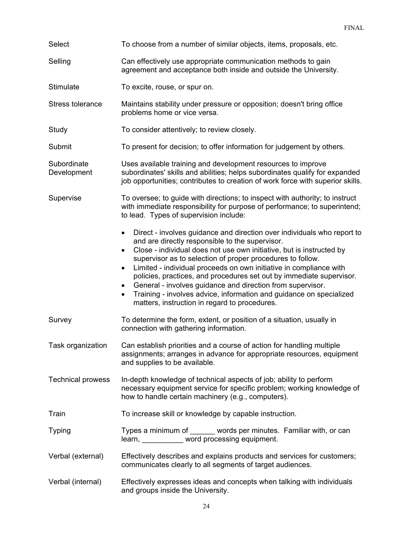| Select                     | To choose from a number of similar objects, items, proposals, etc.                                                                                                                                                                                                                                                                                                                                                                                                                                                                                                                                                             |
|----------------------------|--------------------------------------------------------------------------------------------------------------------------------------------------------------------------------------------------------------------------------------------------------------------------------------------------------------------------------------------------------------------------------------------------------------------------------------------------------------------------------------------------------------------------------------------------------------------------------------------------------------------------------|
| Selling                    | Can effectively use appropriate communication methods to gain<br>agreement and acceptance both inside and outside the University.                                                                                                                                                                                                                                                                                                                                                                                                                                                                                              |
| Stimulate                  | To excite, rouse, or spur on.                                                                                                                                                                                                                                                                                                                                                                                                                                                                                                                                                                                                  |
| Stress tolerance           | Maintains stability under pressure or opposition; doesn't bring office<br>problems home or vice versa.                                                                                                                                                                                                                                                                                                                                                                                                                                                                                                                         |
| Study                      | To consider attentively; to review closely.                                                                                                                                                                                                                                                                                                                                                                                                                                                                                                                                                                                    |
| Submit                     | To present for decision; to offer information for judgement by others.                                                                                                                                                                                                                                                                                                                                                                                                                                                                                                                                                         |
| Subordinate<br>Development | Uses available training and development resources to improve<br>subordinates' skills and abilities; helps subordinates qualify for expanded<br>job opportunities; contributes to creation of work force with superior skills.                                                                                                                                                                                                                                                                                                                                                                                                  |
| Supervise                  | To oversee; to guide with directions; to inspect with authority; to instruct<br>with immediate responsibility for purpose of performance; to superintend;<br>to lead. Types of supervision include:                                                                                                                                                                                                                                                                                                                                                                                                                            |
|                            | Direct - involves guidance and direction over individuals who report to<br>and are directly responsible to the supervisor.<br>Close - individual does not use own initiative, but is instructed by<br>$\bullet$<br>supervisor as to selection of proper procedures to follow.<br>Limited - individual proceeds on own initiative in compliance with<br>$\bullet$<br>policies, practices, and procedures set out by immediate supervisor.<br>General - involves guidance and direction from supervisor.<br>Training - involves advice, information and guidance on specialized<br>matters, instruction in regard to procedures. |
| Survey                     | To determine the form, extent, or position of a situation, usually in<br>connection with gathering information.                                                                                                                                                                                                                                                                                                                                                                                                                                                                                                                |
| Task organization          | Can establish priorities and a course of action for handling multiple<br>assignments; arranges in advance for appropriate resources, equipment<br>and supplies to be available.                                                                                                                                                                                                                                                                                                                                                                                                                                                |
| <b>Technical prowess</b>   | In-depth knowledge of technical aspects of job; ability to perform<br>necessary equipment service for specific problem; working knowledge of<br>how to handle certain machinery (e.g., computers).                                                                                                                                                                                                                                                                                                                                                                                                                             |
| Train                      | To increase skill or knowledge by capable instruction.                                                                                                                                                                                                                                                                                                                                                                                                                                                                                                                                                                         |
| <b>Typing</b>              | Types a minimum of ______ words per minutes. Familiar with, or can<br>learn, word processing equipment.                                                                                                                                                                                                                                                                                                                                                                                                                                                                                                                        |
| Verbal (external)          | Effectively describes and explains products and services for customers;<br>communicates clearly to all segments of target audiences.                                                                                                                                                                                                                                                                                                                                                                                                                                                                                           |
| Verbal (internal)          | Effectively expresses ideas and concepts when talking with individuals<br>and groups inside the University.                                                                                                                                                                                                                                                                                                                                                                                                                                                                                                                    |